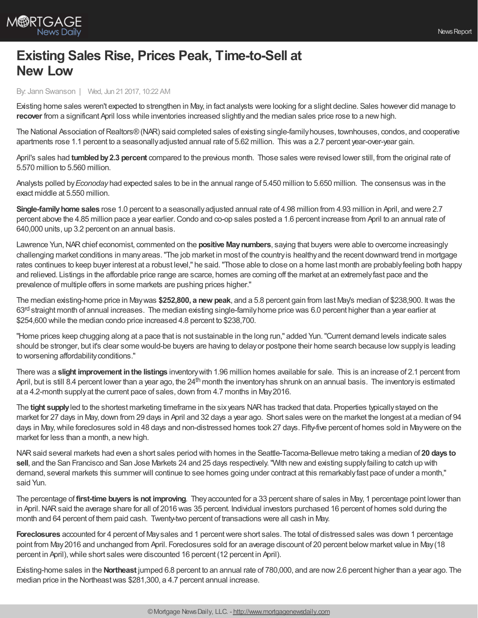

## **Existing Sales Rise, Prices Peak, Time-to-Sell at New Low**

By: Jann Swanson | Wed, Jun 21 2017, 10:22 AM

Existing home sales weren't expected to strengthen in May, in fact analysts were looking for a slight decline. Sales however did manage to **recover** from a significant April loss while inventories increased slightlyand the median sales price rose to a newhigh.

The National Association of Realtors® (NAR) said completed sales of existing single-family houses, townhouses, condos, and cooperative apartments rose 1.1 percent to a seasonallyadjusted annual rate of 5.62 million. This was a 2.7 percent year-over-year gain.

April's sales had **tumbledby2.3 percent** compared to the previous month. Those sales were revised lower still, from the original rate of 5.570 million to 5.560 million.

Analysts polled by*Econoday* had expected sales to be in the annual range of 5.450 million to 5.650 million. The consensus was in the exact middle at 5.550 million.

**Single-familyhome sales** rose 1.0 percent to a seasonallyadjusted annual rate of 4.98 million from 4.93 million in April, and were 2.7 percent above the 4.85 million pace a year earlier.Condo and co-op sales posted a 1.6 percent increase from April to an annual rate of 640,000 units, up 3.2 percent on an annual basis.

Lawrence Yun,NARchief economist, commented on the **positive Maynumbers**, saying that buyers were able to overcome increasingly challenging market conditions in manyareas."The job market in most of the countryis healthyand the recent downward trend in mortgage rates continues to keep buyer interest at a robust level," he said."Those able to close on a home last month are probablyfeeling both happy and relieved. Listings in the affordable price range are scarce, homes are coming off the market at an extremelyfast pace and the prevalence of multiple offers in some markets are pushing prices higher."

The median existing-home price in Maywas **\$252,800, a new peak**, and a 5.8 percent gain from last May's median of \$238,900. Itwas the 63<sup>rd</sup> straight month of annual increases. The median existing single-family home price was 6.0 percent higher than a year earlier at \$254,600 while the median condo price increased 4.8 percent to \$238,700.

"Home prices keep chugging along at a pace that is not sustainable in the long run," added Yun."Current demand levels indicate sales should be stronger, but it's clear some would-be buyers are having to delayor postpone their home search because lowsupplyis leading to worsening affordability conditions."

There was a **slight improvement inthe listings** inventorywith 1.96 million homes available for sale. This is an increase of 2.1 percent from April, but is still 8.4 percent lower than a year ago, the 24<sup>th</sup> month the inventory has shrunk on an annual basis. The inventory is estimated at a 4.2-month supplyat the current pace of sales, down from 4.7 months in May2016.

The **tight supply** led to the shortest marketing timeframe in the sixyears NAR has tracked that data. Properties typically stayed on the market for 27 days in May, down from 29 days in April and 32 days a year ago. Short sales were on the market the longest at a median of 94 days in May,while foreclosures sold in 48 days and non-distressed homes took 27 days. Fifty-five percent of homes sold in Maywere on the market for less than a month, a new high.

NARsaid several markets had even a short sales period with homes in the Seattle-Tacoma-Bellevue metro taking a median of **20 days to sell**, and the San Francisco and San Jose Markets 24 and 25 days respectively."With newand existing supplyfailing to catch up with demand, several markets this summer will continue to see homes going under contract at this remarkablyfast pace of under a month," said Yun.

The percentage of **first-time buyers is not improving**. Theyaccounted for a 33 percent share of sales in May, 1 percentage point lower than in April.NARsaid the average share for all of 2016 was 35 percent. Individual investors purchased 16 percent of homes sold during the month and 64 percent of them paid cash. Twenty-two percent of transactions were all cash in May.

**Foreclosures** accounted for 4 percent of Maysales and 1 percentwere short sales. The total of distressed sales was down 1 percentage point from May2016 and unchanged from April. Foreclosures sold for an average discount of 20 percent below market value in May(18 percent in April), while short sales were discounted 16 percent (12 percent in April).

Existing-home sales in the **Northeast** jumped 6.8 percent to an annual rate of 780,000, and are now2.6 percent higher than a year ago. The median price in the Northeastwas \$281,300, a 4.7 percent annual increase.